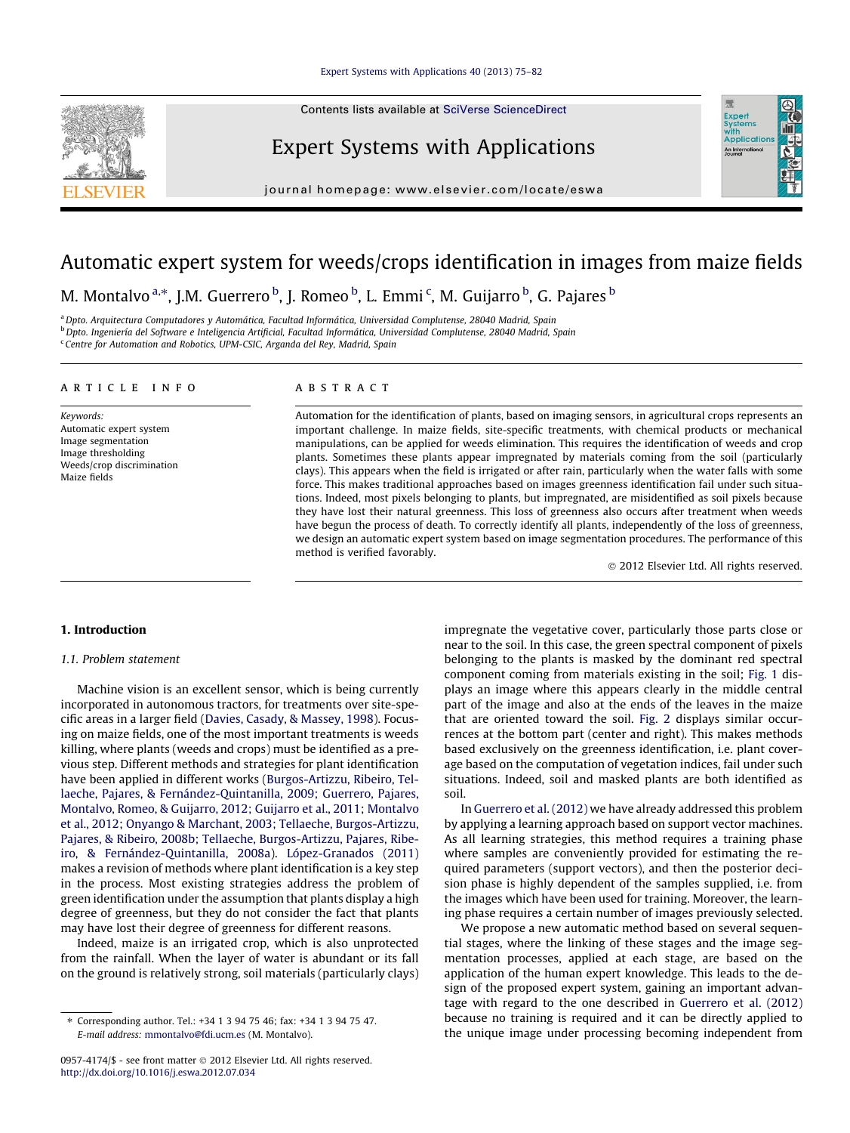#### [Expert Systems with Applications 40 \(2013\) 75–82](http://dx.doi.org/10.1016/j.eswa.2012.07.034)

Contents lists available at [SciVerse ScienceDirect](http://www.sciencedirect.com/science/journal/09574174)

## Expert Systems with Applications

journal homepage: [www.elsevier.com/locate/eswa](http://www.elsevier.com/locate/eswa)

## Automatic expert system for weeds/crops identification in images from maize fields

M. Montalvo <sup>a,</sup>\*, J.M. Guerrero <sup>b</sup>, J. Romeo <sup>b</sup>, L. Emmi <sup>c</sup>, M. Guijarro <sup>b</sup>, G. Pajares <sup>b</sup>

<sup>a</sup> Dpto. Arquitectura Computadores y Automática, Facultad Informática, Universidad Complutense, 28040 Madrid, Spain <sup>b</sup> Dpto. Ingeniería del Software e Inteligencia Artificial, Facultad Informática, Universidad Complutense, 28040 Madrid, Spain <sup>c</sup> Centre for Automation and Robotics, UPM-CSIC, Arganda del Rey, Madrid, Spain

#### article info

Keywords: Automatic expert system Image segmentation Image thresholding Weeds/crop discrimination Maize fields

#### **ABSTRACT**

Automation for the identification of plants, based on imaging sensors, in agricultural crops represents an important challenge. In maize fields, site-specific treatments, with chemical products or mechanical manipulations, can be applied for weeds elimination. This requires the identification of weeds and crop plants. Sometimes these plants appear impregnated by materials coming from the soil (particularly clays). This appears when the field is irrigated or after rain, particularly when the water falls with some force. This makes traditional approaches based on images greenness identification fail under such situations. Indeed, most pixels belonging to plants, but impregnated, are misidentified as soil pixels because they have lost their natural greenness. This loss of greenness also occurs after treatment when weeds have begun the process of death. To correctly identify all plants, independently of the loss of greenness, we design an automatic expert system based on image segmentation procedures. The performance of this method is verified favorably.

- 2012 Elsevier Ltd. All rights reserved.

#### 1. Introduction

#### 1.1. Problem statement

Machine vision is an excellent sensor, which is being currently incorporated in autonomous tractors, for treatments over site-specific areas in a larger field ([Davies, Casady, & Massey, 1998\)](#page--1-0). Focusing on maize fields, one of the most important treatments is weeds killing, where plants (weeds and crops) must be identified as a previous step. Different methods and strategies for plant identification have been applied in different works [\(Burgos-Artizzu, Ribeiro, Tel](#page--1-0)[laeche, Pajares, & Fernández-Quintanilla, 2009; Guerrero, Pajares,](#page--1-0) [Montalvo, Romeo, & Guijarro, 2012; Guijarro et al., 2011;](#page--1-0) [Montalvo](#page--1-0) [et al., 2012;](#page--1-0) [Onyango & Marchant, 2003; Tellaeche, Burgos-Artizzu,](#page--1-0) [Pajares, & Ribeiro, 2008b; Tellaeche, Burgos-Artizzu, Pajares, Ribe](#page--1-0)[iro, & Fernández-Quintanilla, 2008a\)](#page--1-0). [López-Granados \(2011\)](#page--1-0) makes a revision of methods where plant identification is a key step in the process. Most existing strategies address the problem of green identification under the assumption that plants display a high degree of greenness, but they do not consider the fact that plants may have lost their degree of greenness for different reasons.

Indeed, maize is an irrigated crop, which is also unprotected from the rainfall. When the layer of water is abundant or its fall on the ground is relatively strong, soil materials (particularly clays) impregnate the vegetative cover, particularly those parts close or near to the soil. In this case, the green spectral component of pixels belonging to the plants is masked by the dominant red spectral component coming from materials existing in the soil; [Fig. 1](#page-1-0) displays an image where this appears clearly in the middle central part of the image and also at the ends of the leaves in the maize that are oriented toward the soil. [Fig. 2](#page-1-0) displays similar occurrences at the bottom part (center and right). This makes methods based exclusively on the greenness identification, i.e. plant coverage based on the computation of vegetation indices, fail under such situations. Indeed, soil and masked plants are both identified as soil.

In [Guerrero et al. \(2012\)](#page--1-0) we have already addressed this problem by applying a learning approach based on support vector machines. As all learning strategies, this method requires a training phase where samples are conveniently provided for estimating the required parameters (support vectors), and then the posterior decision phase is highly dependent of the samples supplied, i.e. from the images which have been used for training. Moreover, the learning phase requires a certain number of images previously selected.

We propose a new automatic method based on several sequential stages, where the linking of these stages and the image segmentation processes, applied at each stage, are based on the application of the human expert knowledge. This leads to the design of the proposed expert system, gaining an important advantage with regard to the one described in [Guerrero et al. \(2012\)](#page--1-0) because no training is required and it can be directly applied to the unique image under processing becoming independent from





<sup>⇑</sup> Corresponding author. Tel.: +34 1 3 94 75 46; fax: +34 1 3 94 75 47. E-mail address: [mmontalvo@fdi.ucm.es](mailto:mmontalvo@fdi.ucm.es) (M. Montalvo).

<sup>0957-4174/\$ -</sup> see front matter © 2012 Elsevier Ltd. All rights reserved. <http://dx.doi.org/10.1016/j.eswa.2012.07.034>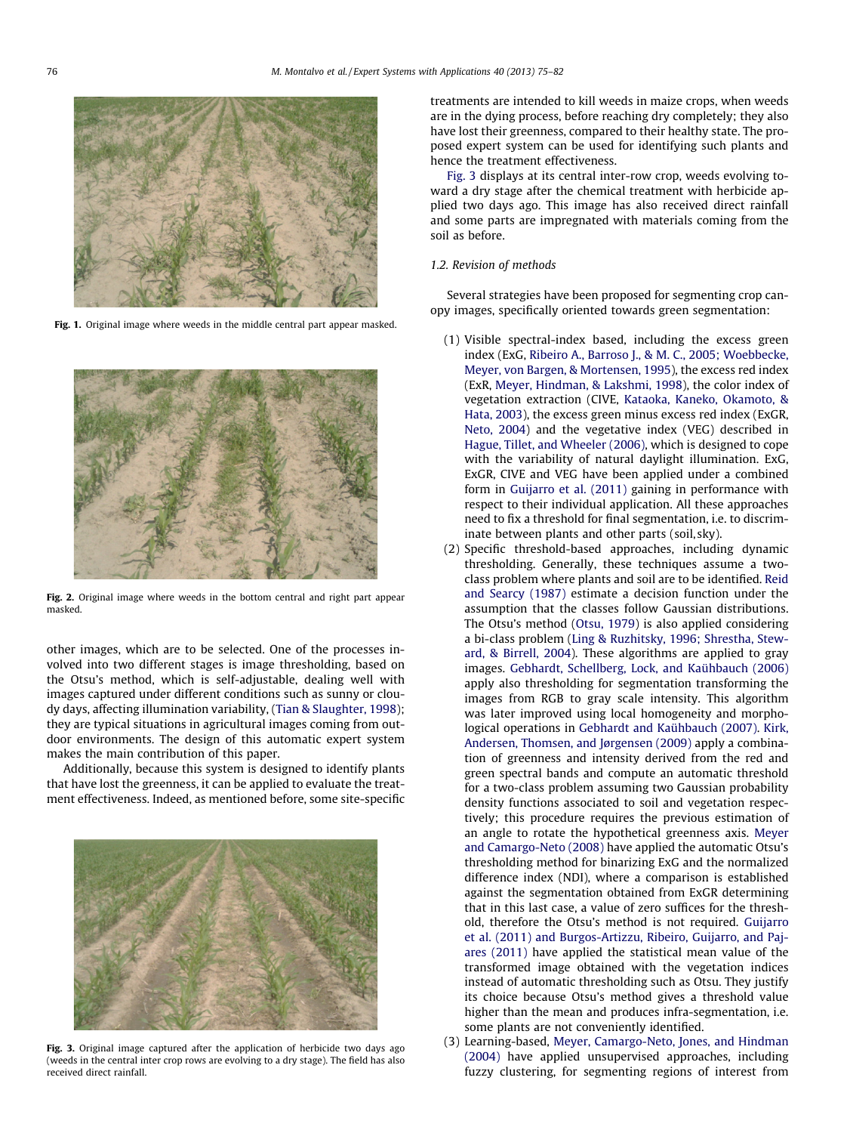<span id="page-1-0"></span>

Fig. 1. Original image where weeds in the middle central part appear masked.



Fig. 2. Original image where weeds in the bottom central and right part appear masked.

other images, which are to be selected. One of the processes involved into two different stages is image thresholding, based on the Otsu's method, which is self-adjustable, dealing well with images captured under different conditions such as sunny or cloudy days, affecting illumination variability, [\(Tian & Slaughter, 1998\)](#page--1-0); they are typical situations in agricultural images coming from outdoor environments. The design of this automatic expert system makes the main contribution of this paper.

Additionally, because this system is designed to identify plants that have lost the greenness, it can be applied to evaluate the treatment effectiveness. Indeed, as mentioned before, some site-specific



Fig. 3. Original image captured after the application of herbicide two days ago (weeds in the central inter crop rows are evolving to a dry stage). The field has also received direct rainfall.

treatments are intended to kill weeds in maize crops, when weeds are in the dying process, before reaching dry completely; they also have lost their greenness, compared to their healthy state. The proposed expert system can be used for identifying such plants and hence the treatment effectiveness.

Fig. 3 displays at its central inter-row crop, weeds evolving toward a dry stage after the chemical treatment with herbicide applied two days ago. This image has also received direct rainfall and some parts are impregnated with materials coming from the soil as before.

### 1.2. Revision of methods

Several strategies have been proposed for segmenting crop canopy images, specifically oriented towards green segmentation:

- (1) Visible spectral-index based, including the excess green index (ExG, [Ribeiro A., Barroso J., & M. C., 2005; Woebbecke,](#page--1-0) [Meyer, von Bargen, & Mortensen, 1995](#page--1-0)), the excess red index (ExR, [Meyer, Hindman, & Lakshmi, 1998](#page--1-0)), the color index of vegetation extraction (CIVE, [Kataoka, Kaneko, Okamoto, &](#page--1-0) [Hata, 2003](#page--1-0)), the excess green minus excess red index (ExGR, [Neto, 2004\)](#page--1-0) and the vegetative index (VEG) described in [Hague, Tillet, and Wheeler \(2006\)](#page--1-0), which is designed to cope with the variability of natural daylight illumination. ExG, ExGR, CIVE and VEG have been applied under a combined form in [Guijarro et al. \(2011\)](#page--1-0) gaining in performance with respect to their individual application. All these approaches need to fix a threshold for final segmentation, i.e. to discriminate between plants and other parts (soil,sky).
- (2) Specific threshold-based approaches, including dynamic thresholding. Generally, these techniques assume a twoclass problem where plants and soil are to be identified. [Reid](#page--1-0) [and Searcy \(1987\)](#page--1-0) estimate a decision function under the assumption that the classes follow Gaussian distributions. The Otsu's method ([Otsu, 1979](#page--1-0)) is also applied considering a bi-class problem ([Ling & Ruzhitsky, 1996; Shrestha, Stew](#page--1-0)[ard, & Birrell, 2004](#page--1-0)). These algorithms are applied to gray images. [Gebhardt, Schellberg, Lock, and Kaühbauch \(2006\)](#page--1-0) apply also thresholding for segmentation transforming the images from RGB to gray scale intensity. This algorithm was later improved using local homogeneity and morphological operations in [Gebhardt and Kaühbauch \(2007\).](#page--1-0) [Kirk,](#page--1-0) [Andersen, Thomsen, and Jørgensen \(2009\)](#page--1-0) apply a combination of greenness and intensity derived from the red and green spectral bands and compute an automatic threshold for a two-class problem assuming two Gaussian probability density functions associated to soil and vegetation respectively; this procedure requires the previous estimation of an angle to rotate the hypothetical greenness axis. [Meyer](#page--1-0) [and Camargo-Neto \(2008\)](#page--1-0) have applied the automatic Otsu's thresholding method for binarizing ExG and the normalized difference index (NDI), where a comparison is established against the segmentation obtained from ExGR determining that in this last case, a value of zero suffices for the threshold, therefore the Otsu's method is not required. [Guijarro](#page--1-0) [et al. \(2011\) and Burgos-Artizzu, Ribeiro, Guijarro, and Paj](#page--1-0)[ares \(2011\)](#page--1-0) have applied the statistical mean value of the transformed image obtained with the vegetation indices instead of automatic thresholding such as Otsu. They justify its choice because Otsu's method gives a threshold value higher than the mean and produces infra-segmentation, i.e. some plants are not conveniently identified.
- (3) Learning-based, [Meyer, Camargo-Neto, Jones, and Hindman](#page--1-0) [\(2004\)](#page--1-0) have applied unsupervised approaches, including fuzzy clustering, for segmenting regions of interest from